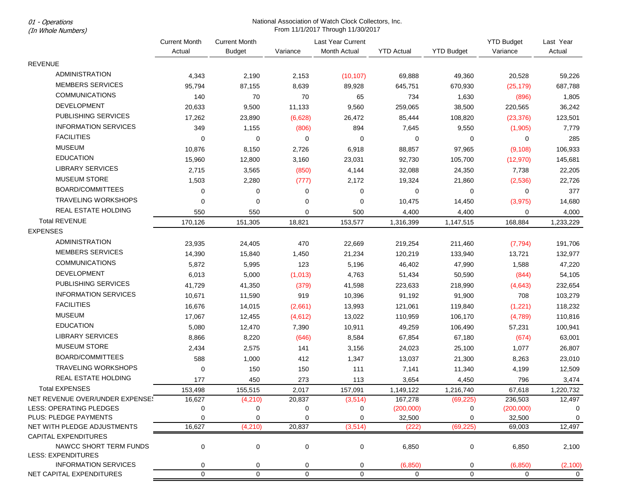01 - Operations

# (In Whole Numbers)

|                                 | <b>Current Month</b><br>Actual | <b>Current Month</b> |             | Last Year Current |                   |                   | <b>YTD Budget</b> | Last Year      |
|---------------------------------|--------------------------------|----------------------|-------------|-------------------|-------------------|-------------------|-------------------|----------------|
|                                 |                                | <b>Budget</b>        | Variance    | Month Actual      | <b>YTD Actual</b> | <b>YTD Budget</b> | Variance          | Actual         |
| <b>REVENUE</b>                  |                                |                      |             |                   |                   |                   |                   |                |
| <b>ADMINISTRATION</b>           | 4,343                          | 2,190                | 2,153       | (10, 107)         | 69,888            | 49,360            | 20,528            | 59,226         |
| <b>MEMBERS SERVICES</b>         | 95,794                         | 87,155               | 8,639       | 89,928            | 645,751           | 670,930           | (25, 179)         | 687,788        |
| <b>COMMUNICATIONS</b>           | 140                            | 70                   | 70          | 65                | 734               | 1,630             | (896)             | 1,805          |
| <b>DEVELOPMENT</b>              | 20,633                         | 9,500                | 11,133      | 9,560             | 259,065           | 38,500            | 220,565           | 36,242         |
| PUBLISHING SERVICES             | 17,262                         | 23,890               | (6,628)     | 26,472            | 85,444            | 108,820           | (23, 376)         | 123,501        |
| <b>INFORMATION SERVICES</b>     | 349                            | 1,155                | (806)       | 894               | 7,645             | 9,550             | (1,905)           | 7,779          |
| <b>FACILITIES</b>               | $\Omega$                       | 0                    | 0           | 0                 | 0                 | 0                 | 0                 | 285            |
| <b>MUSEUM</b>                   | 10,876                         |                      | 2,726       | 6,918             | 88,857            | 97,965            |                   | 106,933        |
| <b>EDUCATION</b>                |                                | 8,150                |             |                   |                   |                   | (9, 108)          |                |
| <b>LIBRARY SERVICES</b>         | 15,960                         | 12,800               | 3,160       | 23,031            | 92,730            | 105,700           | (12, 970)         | 145,681        |
| <b>MUSEUM STORE</b>             | 2,715                          | 3,565                | (850)       | 4,144             | 32,088            | 24,350            | 7,738             | 22,205         |
|                                 | 1,503                          | 2,280                | (777)       | 2,172             | 19,324            | 21,860            | (2, 536)          | 22,726         |
| BOARD/COMMITTEES                | 0                              | 0                    | 0           | 0                 | 0                 | 0                 | 0                 | 377            |
| <b>TRAVELING WORKSHOPS</b>      | $\mathbf 0$                    | 0                    | $\mathbf 0$ | 0                 | 10,475            | 14,450            | (3, 975)          | 14,680         |
| <b>REAL ESTATE HOLDING</b>      | 550                            | 550                  | 0           | 500               | 4,400             | 4,400             | 0                 | 4,000          |
| <b>Total REVENUE</b>            | 170,126                        | 151,305              | 18,821      | 153,577           | 1,316,399         | 1,147,515         | 168,884           | 1,233,229      |
| <b>EXPENSES</b>                 |                                |                      |             |                   |                   |                   |                   |                |
| ADMINISTRATION                  | 23,935                         | 24,405               | 470         | 22,669            | 219,254           | 211,460           | (7, 794)          | 191,706        |
| <b>MEMBERS SERVICES</b>         | 14,390                         | 15,840               | 1,450       | 21,234            | 120,219           | 133,940           | 13,721            | 132,977        |
| <b>COMMUNICATIONS</b>           | 5,872                          | 5,995                | 123         | 5,196             | 46,402            | 47,990            | 1,588             | 47,220         |
| DEVELOPMENT                     | 6,013                          | 5,000                | (1,013)     | 4,763             | 51,434            | 50,590            | (844)             | 54,105         |
| <b>PUBLISHING SERVICES</b>      | 41,729                         | 41,350               | (379)       | 41,598            | 223,633           | 218,990           | (4,643)           | 232,654        |
| <b>INFORMATION SERVICES</b>     | 10,671                         | 11,590               | 919         | 10,396            | 91,192            | 91,900            | 708               | 103,279        |
| <b>FACILITIES</b>               | 16,676                         | 14,015               | (2,661)     | 13,993            | 121,061           | 119,840           | (1,221)           | 118,232        |
| MUSEUM                          | 17,067                         | 12,455               | (4,612)     | 13,022            | 110,959           | 106,170           | (4,789)           | 110,816        |
| <b>EDUCATION</b>                | 5,080                          | 12,470               | 7,390       | 10,911            | 49,259            | 106,490           | 57,231            | 100,941        |
| <b>LIBRARY SERVICES</b>         | 8,866                          | 8,220                | (646)       | 8,584             | 67,854            | 67,180            | (674)             | 63,001         |
| <b>MUSEUM STORE</b>             | 2,434                          | 2,575                | 141         | 3,156             | 24,023            | 25,100            | 1,077             | 26,807         |
| <b>BOARD/COMMITTEES</b>         | 588                            | 1,000                | 412         | 1,347             | 13,037            | 21,300            | 8,263             | 23,010         |
| <b>TRAVELING WORKSHOPS</b>      | $\mathbf 0$                    | 150                  | 150         | 111               | 7,141             | 11,340            | 4,199             | 12,509         |
| <b>REAL ESTATE HOLDING</b>      | 177                            | 450                  | 273         | 113               | 3,654             | 4,450             | 796               | 3,474          |
| <b>Total EXPENSES</b>           | 153,498                        | 155,515              | 2,017       | 157,091           | 1,149,122         | 1,216,740         | 67,618            | 1,220,732      |
| NET REVENUE OVER/UNDER EXPENSE! | 16,627                         | (4,210)              | 20,837      | (3,514)           | 167,278           | (69,225)          | 236,503           | 12,497         |
| LESS: OPERATING PLEDGES         | 0                              | 0                    | 0           | 0                 | (200,000)         | 0                 | (200,000)         | 0              |
| PLUS: PLEDGE PAYMENTS           | $\mathbf 0$                    | 0                    | $\mathbf 0$ | 0                 | 32,500            | 0                 | 32,500            | 0              |
| NET WITH PLEDGE ADJUSTMENTS     | 16,627                         | (4,210)              | 20,837      | (3, 514)          | (222)             | (69, 225)         | 69,003            | 12,497         |
| <b>CAPITAL EXPENDITURES</b>     |                                |                      |             |                   |                   |                   |                   |                |
| NAWCC SHORT TERM FUNDS          | 0                              | 0                    | 0           | 0                 | 6,850             | 0                 | 6,850             | 2,100          |
| <b>LESS: EXPENDITURES</b>       |                                |                      |             |                   |                   |                   |                   |                |
| <b>INFORMATION SERVICES</b>     | 0                              | 0                    | 0           | 0                 | (6, 850)          | 0                 | (6, 850)          | (2, 100)       |
| NET CAPITAL EXPENDITURES        | $\mathbf 0$                    | 0                    | $\pmb{0}$   | $\mathbf 0$       | $\mathbf 0$       | $\mathbf 0$       | 0                 | $\overline{0}$ |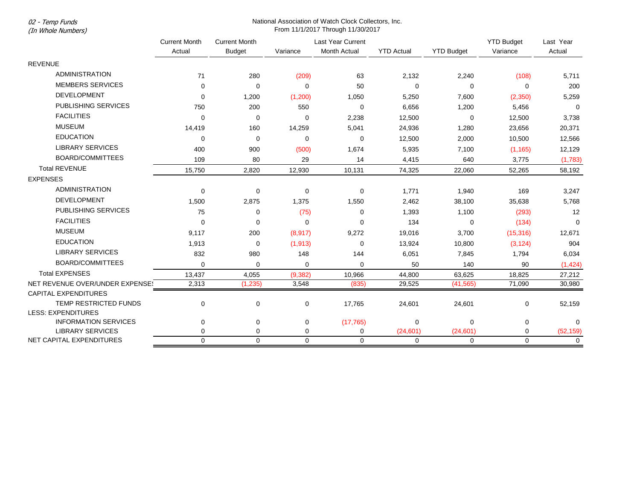02 - Temp Funds

# (In Whole Numbers)

|                                 | <b>Current Month</b><br>Actual | <b>Current Month</b><br><b>Budget</b> | Variance    | Last Year Current<br>Month Actual | <b>YTD Actual</b> | <b>YTD Budget</b> | <b>YTD Budget</b><br>Variance | Last Year<br>Actual |
|---------------------------------|--------------------------------|---------------------------------------|-------------|-----------------------------------|-------------------|-------------------|-------------------------------|---------------------|
| <b>REVENUE</b>                  |                                |                                       |             |                                   |                   |                   |                               |                     |
| <b>ADMINISTRATION</b>           | 71                             |                                       |             |                                   |                   |                   |                               |                     |
| <b>MEMBERS SERVICES</b>         |                                | 280                                   | (209)       | 63                                | 2,132             | 2,240             | (108)                         | 5,711               |
| <b>DEVELOPMENT</b>              | $\Omega$                       | $\Omega$                              | $\Omega$    | 50                                | 0                 | $\Omega$          | $\Omega$                      | 200                 |
|                                 | $\mathbf 0$                    | 1,200                                 | (1,200)     | 1,050                             | 5,250             | 7,600             | (2,350)                       | 5,259               |
| PUBLISHING SERVICES             | 750                            | 200                                   | 550         | $\mathbf 0$                       | 6,656             | 1,200             | 5,456                         | $\overline{0}$      |
| <b>FACILITIES</b>               | $\mathbf 0$                    | 0                                     | 0           | 2,238                             | 12,500            | 0                 | 12,500                        | 3,738               |
| <b>MUSEUM</b>                   | 14,419                         | 160                                   | 14,259      | 5,041                             | 24,936            | 1,280             | 23,656                        | 20,371              |
| <b>EDUCATION</b>                | $\mathbf 0$                    | $\mathbf 0$                           | $\mathbf 0$ | $\mathbf 0$                       | 12,500            | 2,000             | 10,500                        | 12,566              |
| <b>LIBRARY SERVICES</b>         | 400                            | 900                                   | (500)       | 1,674                             | 5,935             | 7,100             | (1, 165)                      | 12,129              |
| BOARD/COMMITTEES                | 109                            | 80                                    | 29          | 14                                | 4,415             | 640               | 3,775                         | (1,783)             |
| <b>Total REVENUE</b>            | 15,750                         | 2,820                                 | 12,930      | 10,131                            | 74,325            | 22,060            | 52,265                        | 58,192              |
| <b>EXPENSES</b>                 |                                |                                       |             |                                   |                   |                   |                               |                     |
| <b>ADMINISTRATION</b>           | $\mathbf 0$                    | $\mathbf 0$                           | 0           | $\mathbf 0$                       | 1,771             | 1,940             | 169                           | 3,247               |
| <b>DEVELOPMENT</b>              | 1,500                          | 2,875                                 | 1,375       | 1,550                             | 2,462             | 38,100            | 35,638                        | 5,768               |
| PUBLISHING SERVICES             | 75                             | 0                                     | (75)        | 0                                 | 1,393             | 1,100             | (293)                         | 12                  |
| <b>FACILITIES</b>               | $\Omega$                       | $\Omega$                              | $\Omega$    | $\Omega$                          | 134               | $\Omega$          | (134)                         | $\Omega$            |
| <b>MUSEUM</b>                   | 9,117                          | 200                                   | (8,917)     | 9,272                             | 19,016            | 3,700             | (15, 316)                     | 12,671              |
| <b>EDUCATION</b>                | 1,913                          | $\mathbf 0$                           | (1, 913)    | 0                                 | 13,924            | 10,800            | (3, 124)                      | 904                 |
| <b>LIBRARY SERVICES</b>         | 832                            | 980                                   | 148         | 144                               | 6,051             | 7,845             | 1,794                         | 6,034               |
| BOARD/COMMITTEES                | $\Omega$                       | $\Omega$                              | 0           | $\Omega$                          | 50                | 140               | 90                            | (1,424)             |
| <b>Total EXPENSES</b>           | 13,437                         | 4,055                                 | (9, 382)    | 10,966                            | 44,800            | 63,625            | 18,825                        | 27,212              |
| NET REVENUE OVER/UNDER EXPENSE! | 2,313                          | (1, 235)                              | 3,548       | (835)                             | 29,525            | (41, 565)         | 71,090                        | 30,980              |
| <b>CAPITAL EXPENDITURES</b>     |                                |                                       |             |                                   |                   |                   |                               |                     |
| TEMP RESTRICTED FUNDS           | $\mathbf 0$                    | $\mathbf 0$                           | 0           | 17,765                            | 24,601            | 24,601            | 0                             | 52,159              |
| <b>LESS: EXPENDITURES</b>       |                                |                                       |             |                                   |                   |                   |                               |                     |
| <b>INFORMATION SERVICES</b>     | 0                              | $\mathbf 0$                           | 0           | (17, 765)                         | 0                 | 0                 | 0                             | $\Omega$            |
| <b>LIBRARY SERVICES</b>         | 0                              | 0                                     | 0           | $\mathbf 0$                       | (24, 601)         | (24, 601)         | 0                             | (52, 159)           |
| NET CAPITAL EXPENDITURES        | $\mathbf 0$                    | $\Omega$                              | $\mathbf 0$ | $\mathbf 0$                       | 0                 | 0                 | $\Omega$                      | $\mathbf 0$         |